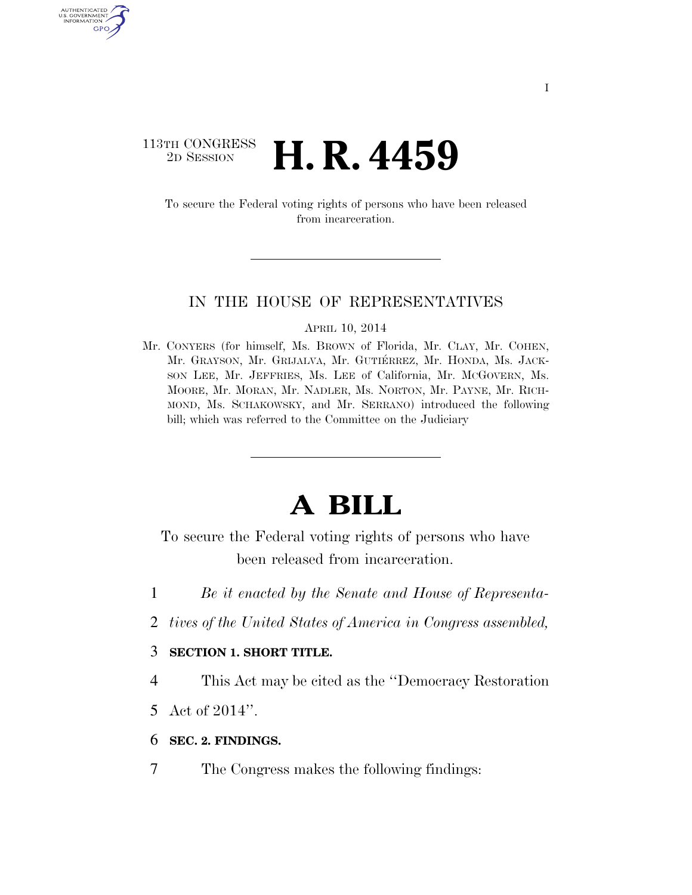# $\begin{array}{c} \textbf{113TH CONGRESS} \\ \textbf{2D} \textbf{Session} \end{array}$ **H. R. 4459**

AUTHENTICATE U.S. GOVERNMENT GPO

> To secure the Federal voting rights of persons who have been released from incarceration.

#### IN THE HOUSE OF REPRESENTATIVES

APRIL 10, 2014

Mr. CONYERS (for himself, Ms. BROWN of Florida, Mr. CLAY, Mr. COHEN, Mr. GRAYSON, Mr. GRIJALVA, Mr. GUTIÉRREZ, Mr. HONDA, Ms. JACK-SON LEE, Mr. JEFFRIES, Ms. LEE of California, Mr. MCGOVERN, Ms. MOORE, Mr. MORAN, Mr. NADLER, Ms. NORTON, Mr. PAYNE, Mr. RICH-MOND, Ms. SCHAKOWSKY, and Mr. SERRANO) introduced the following bill; which was referred to the Committee on the Judiciary

# **A BILL**

To secure the Federal voting rights of persons who have been released from incarceration.

- 1 *Be it enacted by the Senate and House of Representa-*
- 2 *tives of the United States of America in Congress assembled,*

#### 3 **SECTION 1. SHORT TITLE.**

4 This Act may be cited as the ''Democracy Restoration

- 5 Act of 2014''.
- 6 **SEC. 2. FINDINGS.**
- 7 The Congress makes the following findings: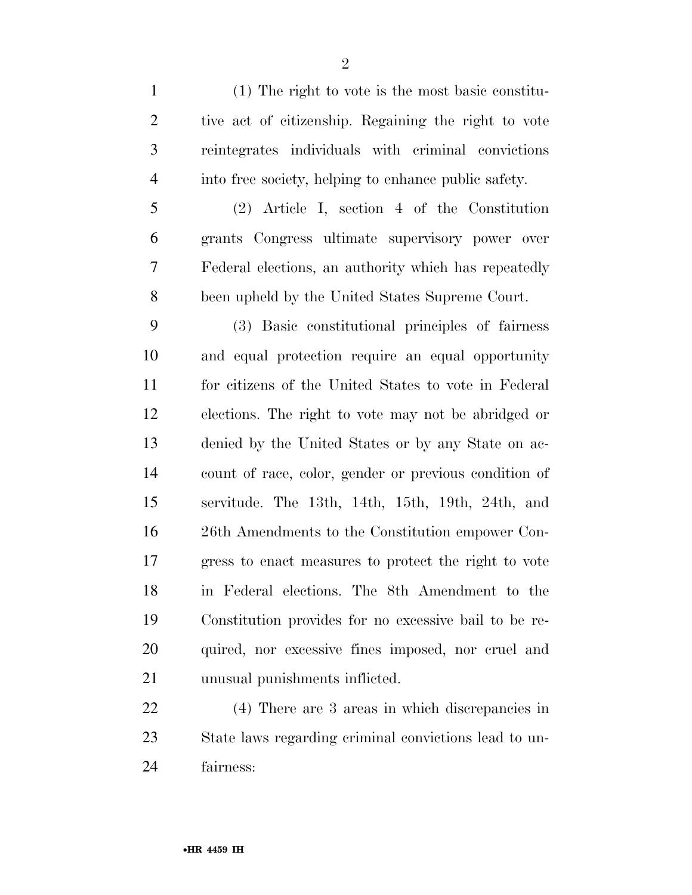(1) The right to vote is the most basic constitu- tive act of citizenship. Regaining the right to vote reintegrates individuals with criminal convictions

 (2) Article I, section 4 of the Constitution grants Congress ultimate supervisory power over Federal elections, an authority which has repeatedly been upheld by the United States Supreme Court.

into free society, helping to enhance public safety.

 (3) Basic constitutional principles of fairness and equal protection require an equal opportunity for citizens of the United States to vote in Federal elections. The right to vote may not be abridged or denied by the United States or by any State on ac- count of race, color, gender or previous condition of servitude. The 13th, 14th, 15th, 19th, 24th, and 26th Amendments to the Constitution empower Con- gress to enact measures to protect the right to vote in Federal elections. The 8th Amendment to the Constitution provides for no excessive bail to be re- quired, nor excessive fines imposed, nor cruel and unusual punishments inflicted.

 (4) There are 3 areas in which discrepancies in State laws regarding criminal convictions lead to un-fairness: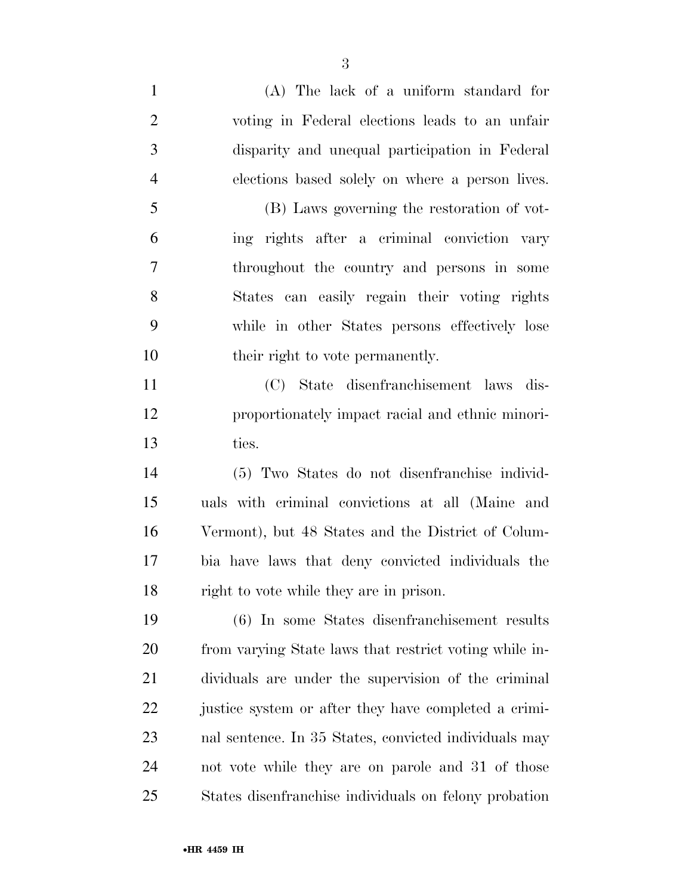(A) The lack of a uniform standard for voting in Federal elections leads to an unfair disparity and unequal participation in Federal elections based solely on where a person lives. (B) Laws governing the restoration of vot- ing rights after a criminal conviction vary throughout the country and persons in some States can easily regain their voting rights while in other States persons effectively lose 10 their right to vote permanently. (C) State disenfranchisement laws dis- proportionately impact racial and ethnic minori-ties.

 (5) Two States do not disenfranchise individ- uals with criminal convictions at all (Maine and Vermont), but 48 States and the District of Colum- bia have laws that deny convicted individuals the right to vote while they are in prison.

 (6) In some States disenfranchisement results from varying State laws that restrict voting while in- dividuals are under the supervision of the criminal justice system or after they have completed a crimi- nal sentence. In 35 States, convicted individuals may not vote while they are on parole and 31 of those States disenfranchise individuals on felony probation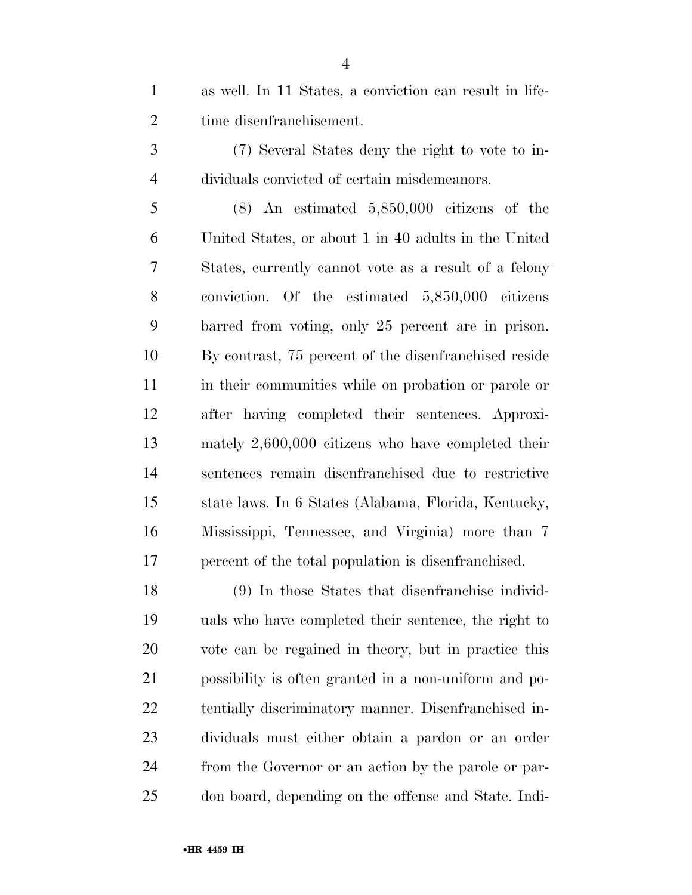as well. In 11 States, a conviction can result in life-time disenfranchisement.

 (7) Several States deny the right to vote to in-dividuals convicted of certain misdemeanors.

 (8) An estimated 5,850,000 citizens of the United States, or about 1 in 40 adults in the United States, currently cannot vote as a result of a felony conviction. Of the estimated 5,850,000 citizens barred from voting, only 25 percent are in prison. By contrast, 75 percent of the disenfranchised reside in their communities while on probation or parole or after having completed their sentences. Approxi- mately 2,600,000 citizens who have completed their sentences remain disenfranchised due to restrictive state laws. In 6 States (Alabama, Florida, Kentucky, Mississippi, Tennessee, and Virginia) more than 7 percent of the total population is disenfranchised.

 (9) In those States that disenfranchise individ- uals who have completed their sentence, the right to vote can be regained in theory, but in practice this possibility is often granted in a non-uniform and po- tentially discriminatory manner. Disenfranchised in- dividuals must either obtain a pardon or an order from the Governor or an action by the parole or par-don board, depending on the offense and State. Indi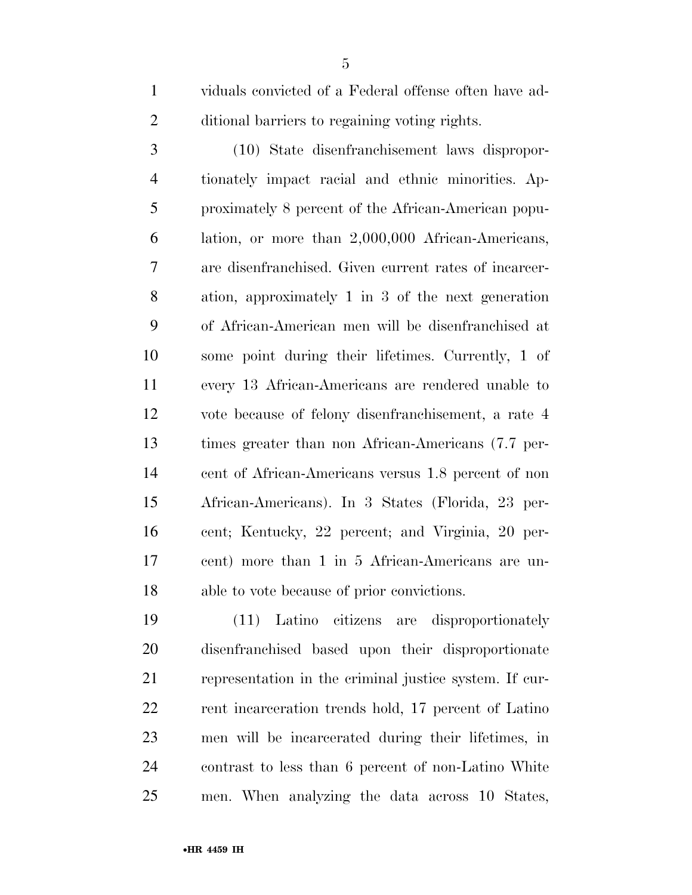viduals convicted of a Federal offense often have ad-ditional barriers to regaining voting rights.

 (10) State disenfranchisement laws dispropor- tionately impact racial and ethnic minorities. Ap- proximately 8 percent of the African-American popu- lation, or more than 2,000,000 African-Americans, are disenfranchised. Given current rates of incarcer- ation, approximately 1 in 3 of the next generation of African-American men will be disenfranchised at some point during their lifetimes. Currently, 1 of every 13 African-Americans are rendered unable to vote because of felony disenfranchisement, a rate 4 times greater than non African-Americans (7.7 per- cent of African-Americans versus 1.8 percent of non African-Americans). In 3 States (Florida, 23 per- cent; Kentucky, 22 percent; and Virginia, 20 per- cent) more than 1 in 5 African-Americans are un-able to vote because of prior convictions.

 (11) Latino citizens are disproportionately disenfranchised based upon their disproportionate representation in the criminal justice system. If cur-22 rent incarceration trends hold, 17 percent of Latino men will be incarcerated during their lifetimes, in contrast to less than 6 percent of non-Latino White men. When analyzing the data across 10 States,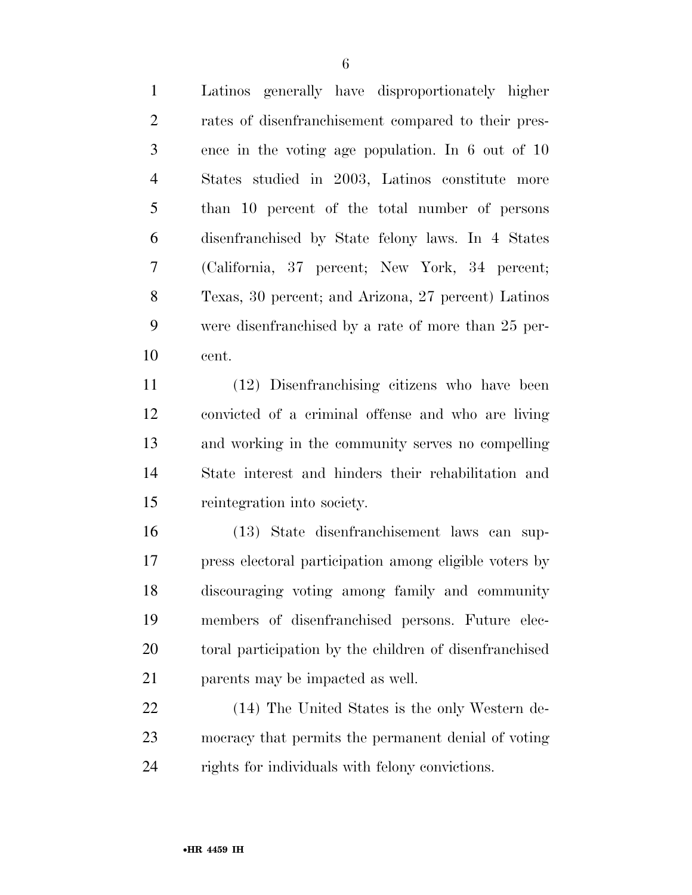Latinos generally have disproportionately higher rates of disenfranchisement compared to their pres- ence in the voting age population. In 6 out of 10 States studied in 2003, Latinos constitute more than 10 percent of the total number of persons disenfranchised by State felony laws. In 4 States (California, 37 percent; New York, 34 percent; Texas, 30 percent; and Arizona, 27 percent) Latinos were disenfranchised by a rate of more than 25 per-cent.

 (12) Disenfranchising citizens who have been convicted of a criminal offense and who are living and working in the community serves no compelling State interest and hinders their rehabilitation and reintegration into society.

 (13) State disenfranchisement laws can sup- press electoral participation among eligible voters by discouraging voting among family and community members of disenfranchised persons. Future elec- toral participation by the children of disenfranchised parents may be impacted as well.

 (14) The United States is the only Western de- mocracy that permits the permanent denial of voting rights for individuals with felony convictions.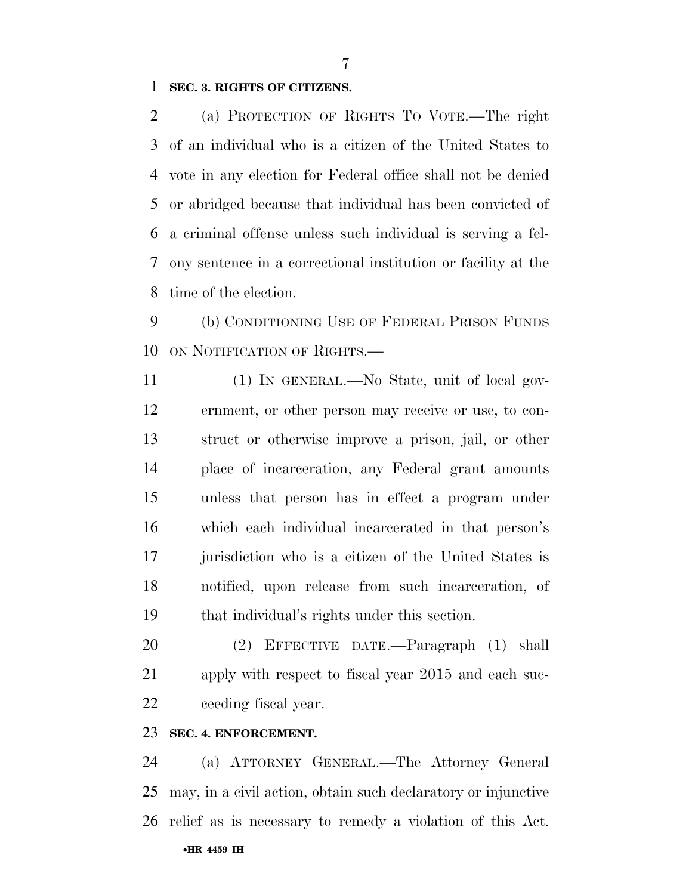#### **SEC. 3. RIGHTS OF CITIZENS.**

 (a) PROTECTION OF RIGHTS TO VOTE.—The right of an individual who is a citizen of the United States to vote in any election for Federal office shall not be denied or abridged because that individual has been convicted of a criminal offense unless such individual is serving a fel- ony sentence in a correctional institution or facility at the time of the election.

 (b) CONDITIONING USE OF FEDERAL PRISON FUNDS ON NOTIFICATION OF RIGHTS.—

 (1) IN GENERAL.—No State, unit of local gov- ernment, or other person may receive or use, to con- struct or otherwise improve a prison, jail, or other place of incarceration, any Federal grant amounts unless that person has in effect a program under which each individual incarcerated in that person's jurisdiction who is a citizen of the United States is notified, upon release from such incarceration, of that individual's rights under this section.

 (2) EFFECTIVE DATE.—Paragraph (1) shall apply with respect to fiscal year 2015 and each suc-ceeding fiscal year.

### **SEC. 4. ENFORCEMENT.**

•**HR 4459 IH** (a) ATTORNEY GENERAL.—The Attorney General may, in a civil action, obtain such declaratory or injunctive relief as is necessary to remedy a violation of this Act.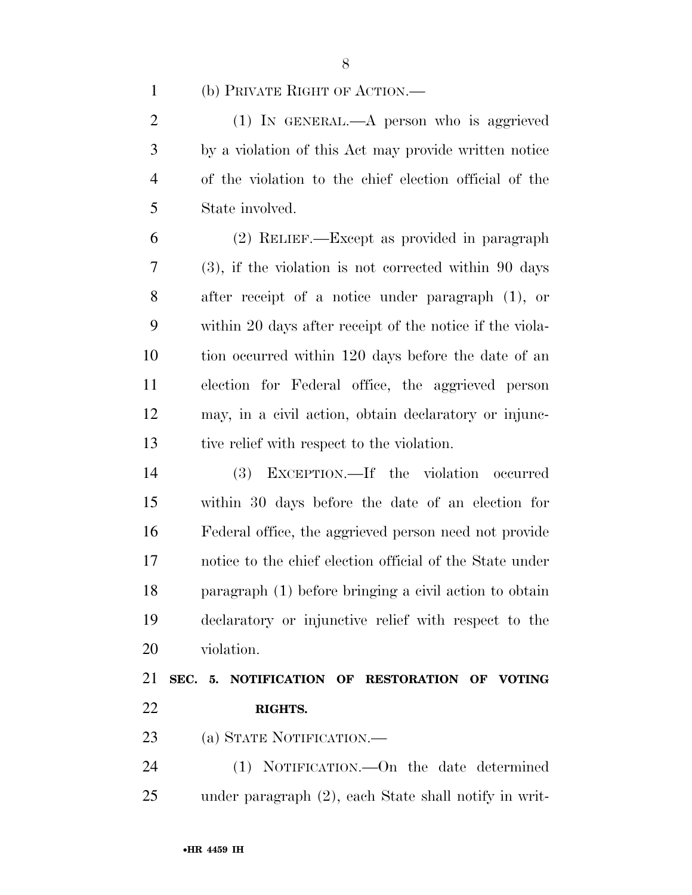(b) PRIVATE RIGHT OF ACTION.—

 (1) IN GENERAL.—A person who is aggrieved by a violation of this Act may provide written notice of the violation to the chief election official of the State involved.

 (2) RELIEF.—Except as provided in paragraph (3), if the violation is not corrected within 90 days after receipt of a notice under paragraph (1), or within 20 days after receipt of the notice if the viola- tion occurred within 120 days before the date of an election for Federal office, the aggrieved person may, in a civil action, obtain declaratory or injunc-tive relief with respect to the violation.

 (3) EXCEPTION.—If the violation occurred within 30 days before the date of an election for Federal office, the aggrieved person need not provide notice to the chief election official of the State under paragraph (1) before bringing a civil action to obtain declaratory or injunctive relief with respect to the violation.

 **SEC. 5. NOTIFICATION OF RESTORATION OF VOTING RIGHTS.** 

(a) STATE NOTIFICATION.—

 (1) NOTIFICATION.—On the date determined under paragraph (2), each State shall notify in writ-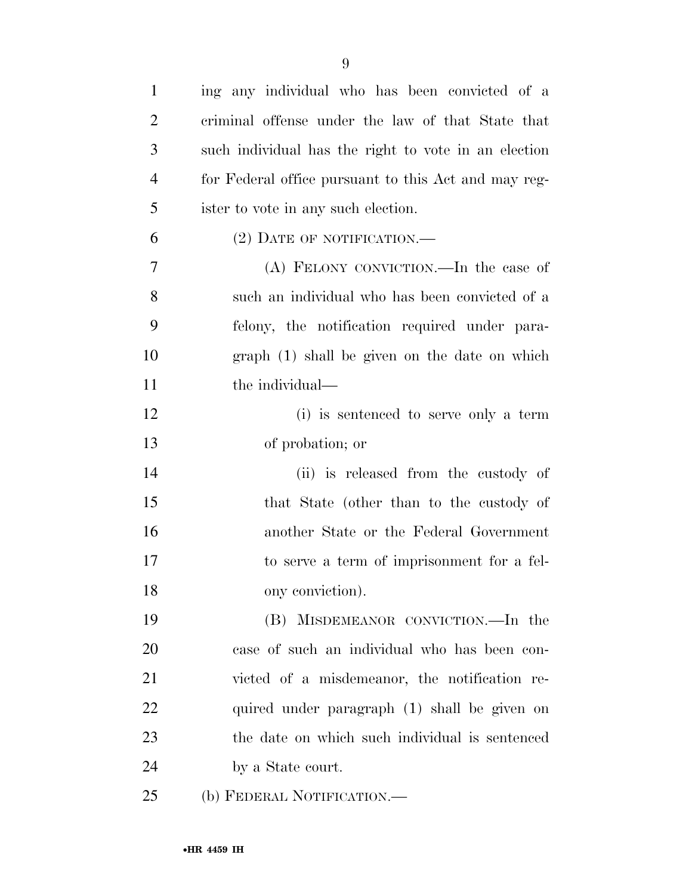| $\mathbf{1}$   | ing any individual who has been convicted of a       |
|----------------|------------------------------------------------------|
| $\overline{2}$ | criminal offense under the law of that State that    |
| 3              | such individual has the right to vote in an election |
| $\overline{4}$ | for Federal office pursuant to this Act and may reg- |
| 5              | ister to vote in any such election.                  |
| 6              | $(2)$ DATE OF NOTIFICATION.—                         |
| 7              | (A) FELONY CONVICTION.—In the case of                |
| 8              | such an individual who has been convicted of a       |
| 9              | felony, the notification required under para-        |
| 10             | graph (1) shall be given on the date on which        |
| 11             | the individual—                                      |
| 12             | (i) is sentenced to serve only a term                |
| 13             | of probation; or                                     |
| 14             | (ii) is released from the custody of                 |
| 15             | that State (other than to the custody of             |
| 16             | another State or the Federal Government              |
| 17             | to serve a term of imprisonment for a fel-           |
| 18             | ony conviction).                                     |
| 19             | (B) MISDEMEANOR CONVICTION.—In the                   |
| 20             | case of such an individual who has been con-         |
| 21             | victed of a misdemeanor, the notification re-        |
| 22             | quired under paragraph (1) shall be given on         |
| 23             | the date on which such individual is sentenced       |
| 24             | by a State court.                                    |
| 25             | (b) FEDERAL NOTIFICATION.—                           |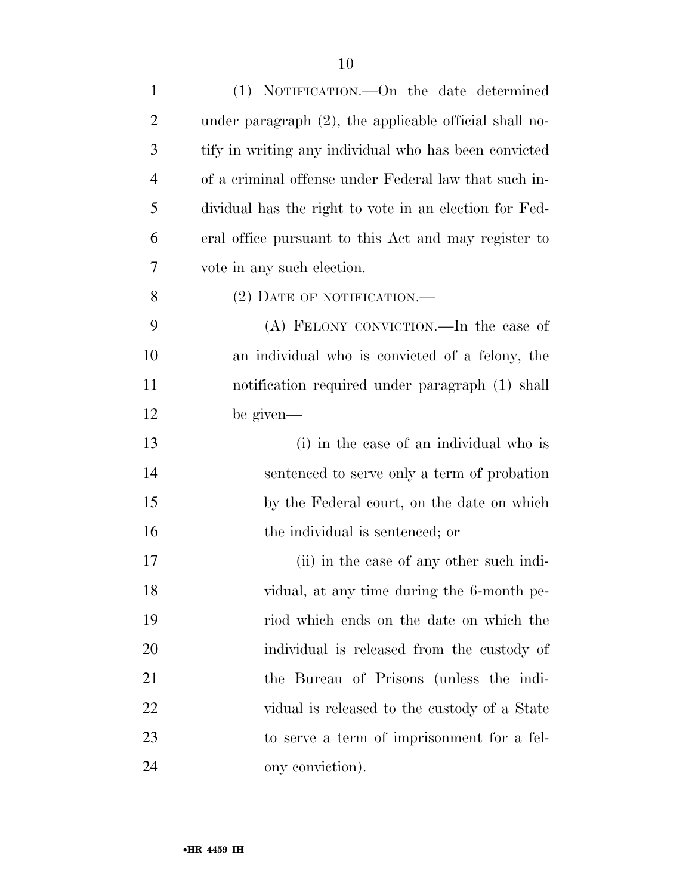| $\mathbf{1}$   | (1) NOTIFICATION.—On the date determined                  |
|----------------|-----------------------------------------------------------|
| $\overline{2}$ | under paragraph $(2)$ , the applicable official shall no- |
| 3              | tify in writing any individual who has been convicted     |
| $\overline{4}$ | of a criminal offense under Federal law that such in-     |
| 5              | dividual has the right to vote in an election for Fed-    |
| 6              | eral office pursuant to this Act and may register to      |
| 7              | vote in any such election.                                |
| 8              | $(2)$ DATE OF NOTIFICATION.—                              |
| 9              | (A) FELONY CONVICTION.—In the case of                     |
| 10             | an individual who is convicted of a felony, the           |
| 11             | notification required under paragraph (1) shall           |
| 12             | be given—                                                 |
| 13             | (i) in the case of an individual who is                   |
| 14             | sentenced to serve only a term of probation               |
| 15             | by the Federal court, on the date on which                |
| 16             | the individual is sentenced; or                           |
| 17             | (ii) in the case of any other such indi-                  |
| 18             | vidual, at any time during the 6-month pe-                |
| 19             | riod which ends on the date on which the                  |
| 20             | individual is released from the custody of                |
| 21             | the Bureau of Prisons (unless the indi-                   |
| <u>22</u>      | vidual is released to the custody of a State              |
| 23             | to serve a term of imprisonment for a fel-                |
| 24             | ony conviction).                                          |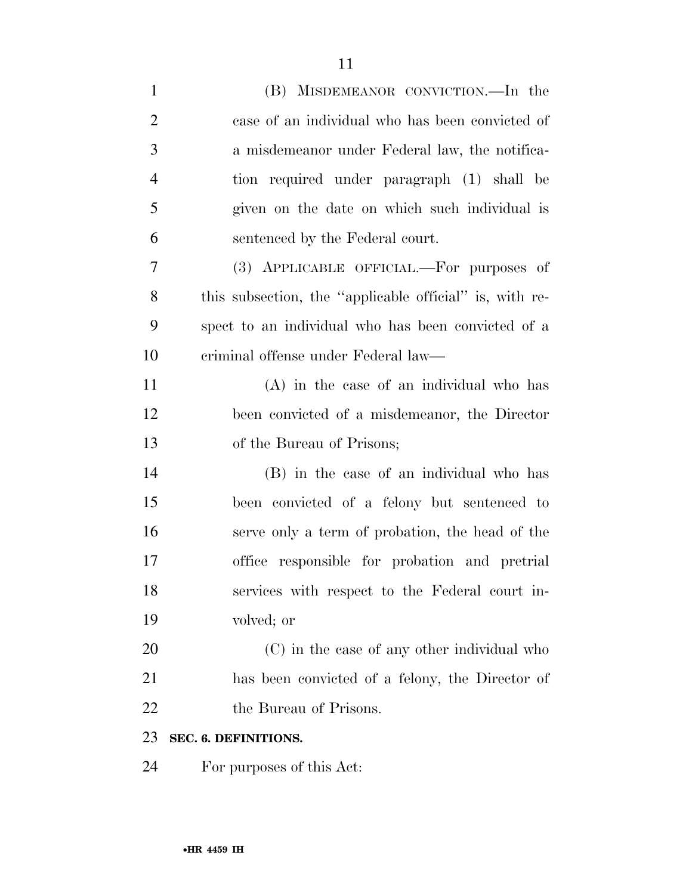| $\mathbf{1}$   | (B) MISDEMEANOR CONVICTION.—In the                      |
|----------------|---------------------------------------------------------|
| $\overline{2}$ | case of an individual who has been convicted of         |
| 3              | a misdemeanor under Federal law, the notifica-          |
| $\overline{4}$ | tion required under paragraph (1) shall be              |
| 5              | given on the date on which such individual is           |
| 6              | sentenced by the Federal court.                         |
| 7              | (3) APPLICABLE OFFICIAL.—For purposes of                |
| 8              | this subsection, the "applicable official" is, with re- |
| 9              | spect to an individual who has been convicted of a      |
| 10             | eriminal offense under Federal law—                     |
| 11             | $(A)$ in the case of an individual who has              |
| 12             | been convicted of a misdemeanor, the Director           |
| 13             | of the Bureau of Prisons;                               |
| 14             | (B) in the case of an individual who has                |
| 15             | been convicted of a felony but sentenced to             |
| 16             | serve only a term of probation, the head of the         |
| 17             | office responsible for probation and pretrial           |
| 18             | services with respect to the Federal court in-          |
| 19             | volved; or                                              |
| 20             | (C) in the case of any other individual who             |
| 21             | has been convicted of a felony, the Director of         |
| 22             | the Bureau of Prisons.                                  |
| 23             | SEC. 6. DEFINITIONS.                                    |
| 24             | For purposes of this Act:                               |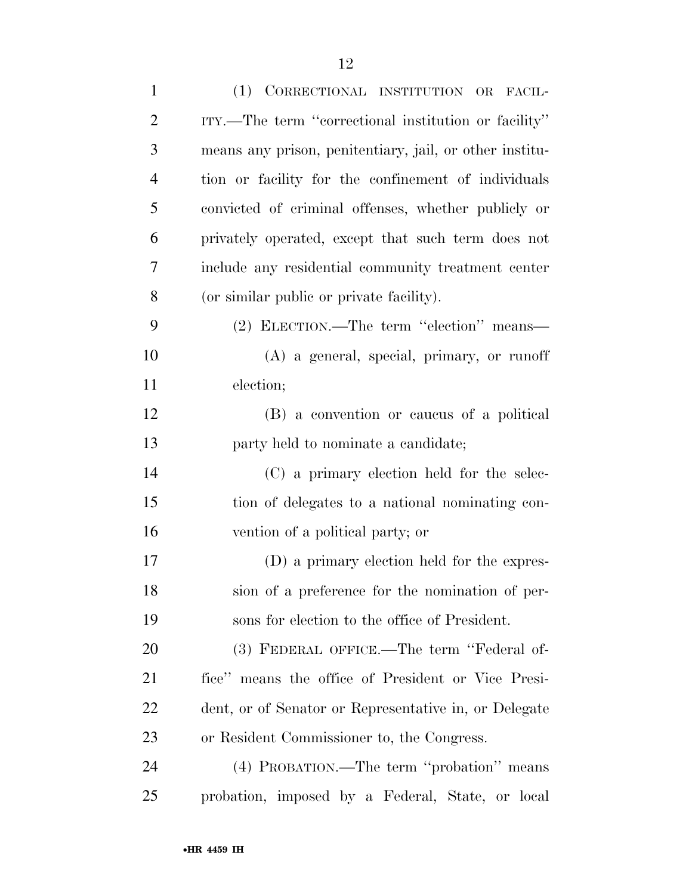| $\mathbf{1}$   | (1) CORRECTIONAL INSTITUTION OR FACIL-                  |
|----------------|---------------------------------------------------------|
| $\overline{2}$ | ITY.—The term "correctional institution or facility"    |
| 3              | means any prison, penitentiary, jail, or other institu- |
| $\overline{4}$ | tion or facility for the confinement of individuals     |
| 5              | convicted of criminal offenses, whether publicly or     |
| 6              | privately operated, except that such term does not      |
| 7              | include any residential community treatment center      |
| 8              | (or similar public or private facility).                |
| 9              | (2) ELECTION.—The term "election" means—                |
| 10             | $(A)$ a general, special, primary, or runoff            |
| 11             | election;                                               |
| 12             | (B) a convention or caucus of a political               |
| 13             | party held to nominate a candidate;                     |
| 14             | (C) a primary election held for the selec-              |
| 15             | tion of delegates to a national nominating con-         |
| 16             | vention of a political party; or                        |
| 17             | (D) a primary election held for the expres-             |
| 18             | sion of a preference for the nomination of per-         |
| 19             | sons for election to the office of President.           |
| 20             | (3) FEDERAL OFFICE.—The term "Federal of-               |
| 21             | fice" means the office of President or Vice Presi-      |
| 22             | dent, or of Senator or Representative in, or Delegate   |
| 23             | or Resident Commissioner to, the Congress.              |
| 24             | (4) PROBATION.—The term "probation" means               |
| 25             | probation, imposed by a Federal, State, or local        |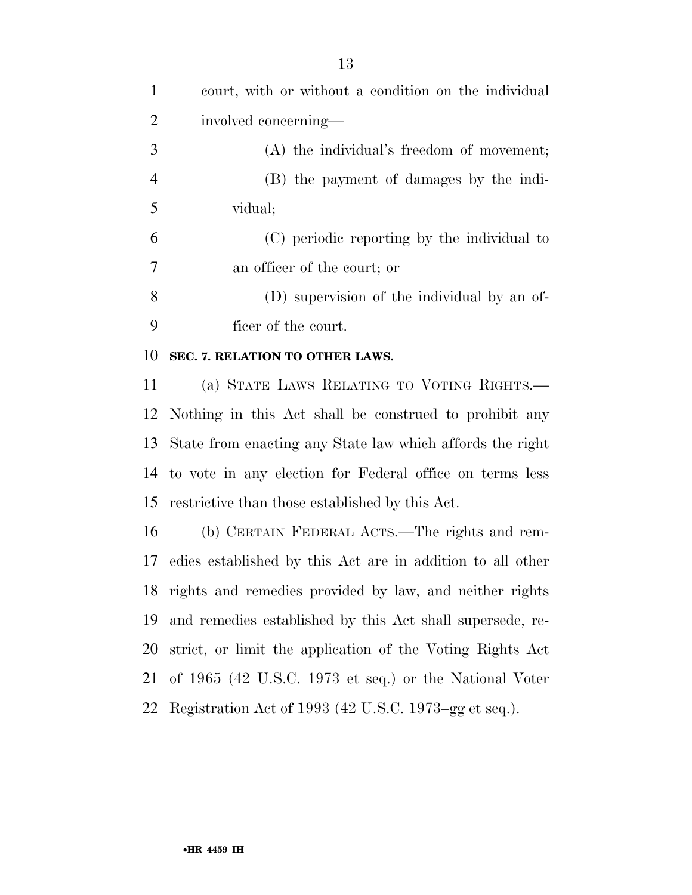court, with or without a condition on the individual involved concerning— (A) the individual's freedom of movement; (B) the payment of damages by the indi- vidual; (C) periodic reporting by the individual to an officer of the court; or (D) supervision of the individual by an of- ficer of the court. **SEC. 7. RELATION TO OTHER LAWS.**  (a) STATE LAWS RELATING TO VOTING RIGHTS.— Nothing in this Act shall be construed to prohibit any State from enacting any State law which affords the right to vote in any election for Federal office on terms less restrictive than those established by this Act. (b) CERTAIN FEDERAL ACTS.—The rights and rem- edies established by this Act are in addition to all other rights and remedies provided by law, and neither rights and remedies established by this Act shall supersede, re- strict, or limit the application of the Voting Rights Act of 1965 (42 U.S.C. 1973 et seq.) or the National Voter Registration Act of 1993 (42 U.S.C. 1973–gg et seq.).